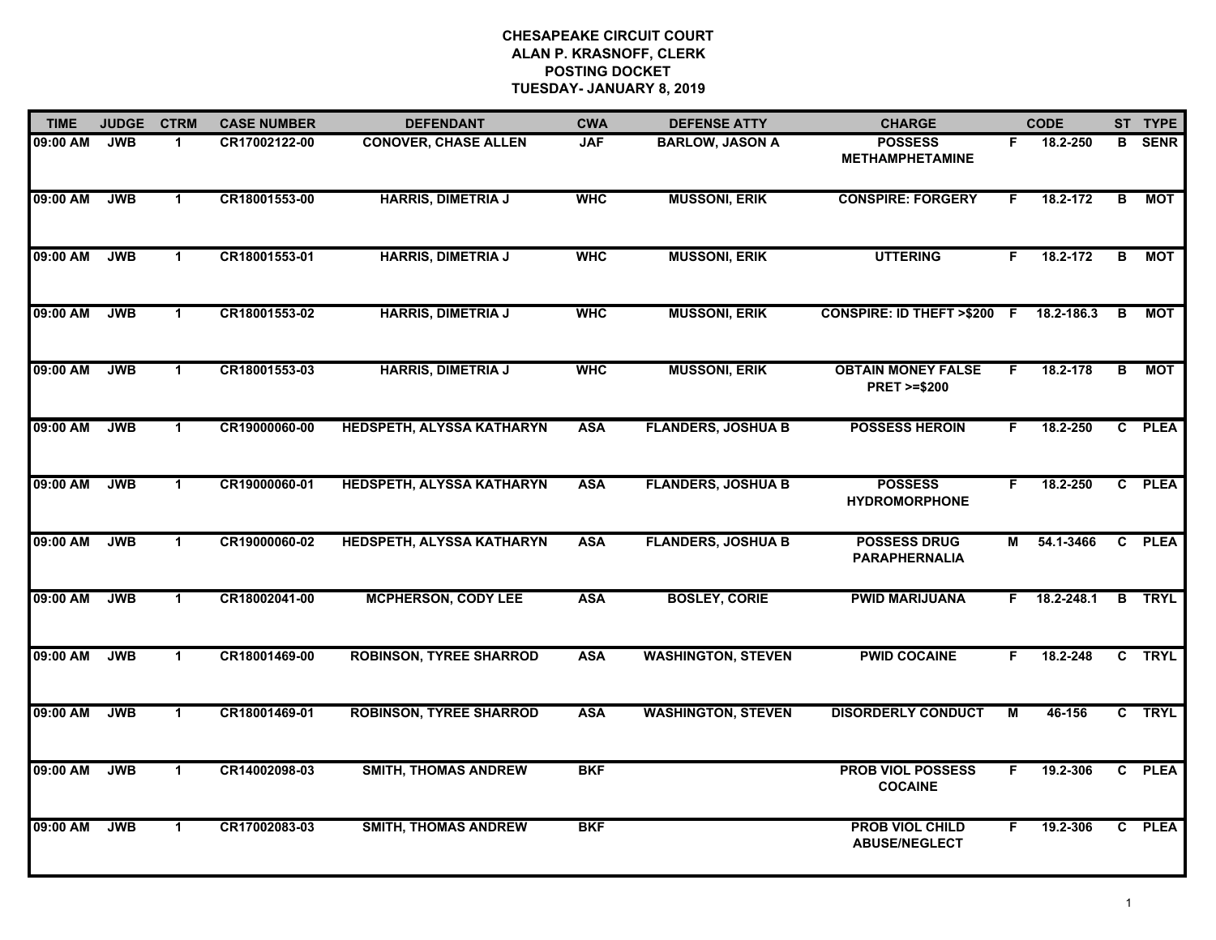| <b>TIME</b> | <b>JUDGE</b> | <b>CTRM</b>          | <b>CASE NUMBER</b> | <b>DEFENDANT</b>                 | <b>CWA</b> | <b>DEFENSE ATTY</b>       | <b>CHARGE</b>                                       |    | <b>CODE</b> |                | ST TYPE       |
|-------------|--------------|----------------------|--------------------|----------------------------------|------------|---------------------------|-----------------------------------------------------|----|-------------|----------------|---------------|
| 09:00 AM    | <b>JWB</b>   | -1                   | CR17002122-00      | <b>CONOVER, CHASE ALLEN</b>      | <b>JAF</b> | <b>BARLOW, JASON A</b>    | <b>POSSESS</b><br><b>METHAMPHETAMINE</b>            | F. | 18.2-250    | B.             | <b>SENR</b>   |
| 09:00 AM    | <b>JWB</b>   | $\mathbf{1}$         | CR18001553-00      | <b>HARRIS, DIMETRIA J</b>        | <b>WHC</b> | <b>MUSSONI, ERIK</b>      | <b>CONSPIRE: FORGERY</b>                            | F  | 18.2-172    | В              | <b>MOT</b>    |
| 09:00 AM    | <b>JWB</b>   | $\mathbf{1}$         | CR18001553-01      | <b>HARRIS, DIMETRIA J</b>        | <b>WHC</b> | <b>MUSSONI, ERIK</b>      | <b>UTTERING</b>                                     | F. | 18.2-172    | $\overline{B}$ | <b>MOT</b>    |
| 09:00 AM    | <b>JWB</b>   | $\mathbf{1}$         | CR18001553-02      | <b>HARRIS, DIMETRIA J</b>        | <b>WHC</b> | <b>MUSSONI, ERIK</b>      | <b>CONSPIRE: ID THEFT &gt;\$200 F</b>               |    | 18.2-186.3  | B              | <b>MOT</b>    |
| 09:00 AM    | <b>JWB</b>   | $\mathbf{1}$         | CR18001553-03      | <b>HARRIS, DIMETRIA J</b>        | <b>WHC</b> | <b>MUSSONI, ERIK</b>      | <b>OBTAIN MONEY FALSE</b><br><b>PRET &gt;=\$200</b> | F. | 18.2-178    | в              | <b>MOT</b>    |
| 09:00 AM    | <b>JWB</b>   | $\mathbf{1}$         | CR19000060-00      | HEDSPETH, ALYSSA KATHARYN        | <b>ASA</b> | <b>FLANDERS, JOSHUA B</b> | <b>POSSESS HEROIN</b>                               | F. | 18.2-250    |                | C PLEA        |
| 09:00 AM    | <b>JWB</b>   | $\mathbf{1}$         | CR19000060-01      | HEDSPETH, ALYSSA KATHARYN        | <b>ASA</b> | <b>FLANDERS, JOSHUA B</b> | <b>POSSESS</b><br><b>HYDROMORPHONE</b>              | F. | 18.2-250    |                | C PLEA        |
| 09:00 AM    | <b>JWB</b>   | $\blacktriangleleft$ | CR19000060-02      | <b>HEDSPETH, ALYSSA KATHARYN</b> | <b>ASA</b> | <b>FLANDERS, JOSHUA B</b> | <b>POSSESS DRUG</b><br><b>PARAPHERNALIA</b>         | M  | 54.1-3466   |                | C PLEA        |
| 09:00 AM    | <b>JWB</b>   | $\mathbf 1$          | CR18002041-00      | <b>MCPHERSON, CODY LEE</b>       | <b>ASA</b> | <b>BOSLEY, CORIE</b>      | <b>PWID MARIJUANA</b>                               | F. | 18.2-248.1  |                | <b>B</b> TRYL |
| 09:00 AM    | <b>JWB</b>   | $\mathbf{1}$         | CR18001469-00      | <b>ROBINSON, TYREE SHARROD</b>   | <b>ASA</b> | <b>WASHINGTON, STEVEN</b> | <b>PWID COCAINE</b>                                 | F. | 18.2-248    |                | C TRYL        |
| 09:00 AM    | <b>JWB</b>   | $\mathbf 1$          | CR18001469-01      | <b>ROBINSON, TYREE SHARROD</b>   | <b>ASA</b> | <b>WASHINGTON, STEVEN</b> | <b>DISORDERLY CONDUCT</b>                           | М  | 46-156      |                | C TRYL        |
| 09:00 AM    | <b>JWB</b>   | $\mathbf{1}$         | CR14002098-03      | <b>SMITH, THOMAS ANDREW</b>      | <b>BKF</b> |                           | <b>PROB VIOL POSSESS</b><br><b>COCAINE</b>          | F. | 19.2-306    |                | C PLEA        |
| 09:00 AM    | <b>JWB</b>   | $\mathbf{1}$         | CR17002083-03      | <b>SMITH, THOMAS ANDREW</b>      | <b>BKF</b> |                           | <b>PROB VIOL CHILD</b><br><b>ABUSE/NEGLECT</b>      | F. | 19.2-306    |                | C PLEA        |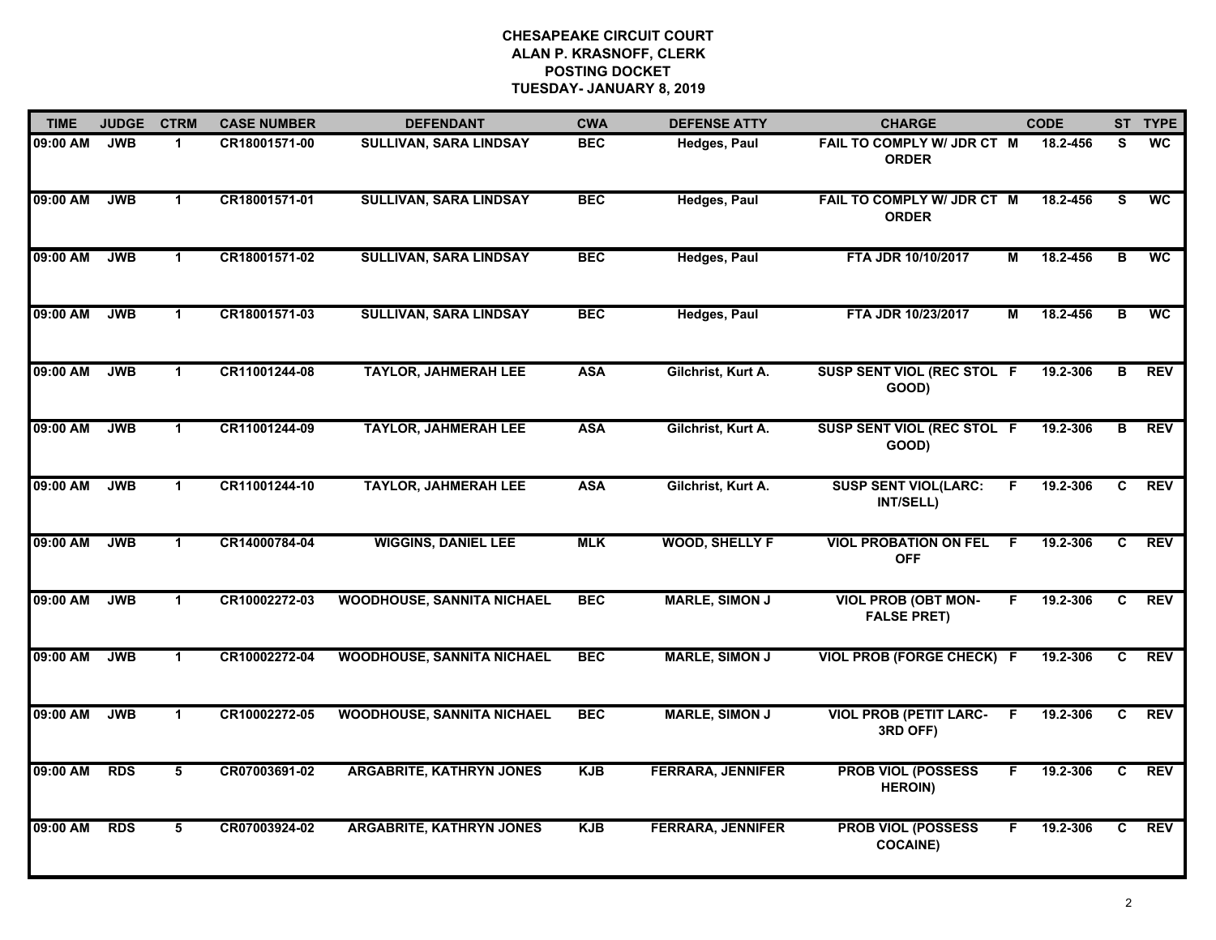| <b>TIME</b> | <b>JUDGE</b> | <b>CTRM</b>          | <b>CASE NUMBER</b> | <b>DEFENDANT</b>                  | <b>CWA</b> | <b>DEFENSE ATTY</b>      | <b>CHARGE</b>                                    |    | <b>CODE</b> |                | ST TYPE    |
|-------------|--------------|----------------------|--------------------|-----------------------------------|------------|--------------------------|--------------------------------------------------|----|-------------|----------------|------------|
| 09:00 AM    | <b>JWB</b>   | $\blacktriangleleft$ | CR18001571-00      | <b>SULLIVAN, SARA LINDSAY</b>     | <b>BEC</b> | Hedges, Paul             | FAIL TO COMPLY W/ JDR CT M<br><b>ORDER</b>       |    | 18.2-456    | S              | <b>WC</b>  |
| 09:00 AM    | <b>JWB</b>   | $\mathbf{1}$         | CR18001571-01      | <b>SULLIVAN, SARA LINDSAY</b>     | <b>BEC</b> | Hedges, Paul             | FAIL TO COMPLY W/ JDR CT M<br><b>ORDER</b>       |    | 18.2-456    | S.             | <b>WC</b>  |
| 09:00 AM    | <b>JWB</b>   | $\mathbf 1$          | CR18001571-02      | <b>SULLIVAN, SARA LINDSAY</b>     | <b>BEC</b> | <b>Hedges, Paul</b>      | FTA JDR 10/10/2017                               | М  | 18.2-456    | B              | <b>WC</b>  |
| 09:00 AM    | <b>JWB</b>   | $\mathbf 1$          | CR18001571-03      | <b>SULLIVAN, SARA LINDSAY</b>     | <b>BEC</b> | <b>Hedges, Paul</b>      | FTA JDR 10/23/2017                               | м  | 18.2-456    | в              | <b>WC</b>  |
| 09:00 AM    | <b>JWB</b>   | $\blacktriangleleft$ | CR11001244-08      | <b>TAYLOR, JAHMERAH LEE</b>       | <b>ASA</b> | Gilchrist, Kurt A.       | SUSP SENT VIOL (REC STOL F<br>GOOD)              |    | 19.2-306    | в              | <b>REV</b> |
| 09:00 AM    | <b>JWB</b>   | $\mathbf{1}$         | CR11001244-09      | <b>TAYLOR, JAHMERAH LEE</b>       | <b>ASA</b> | Gilchrist, Kurt A.       | SUSP SENT VIOL (REC STOL F<br>GOOD)              |    | 19.2-306    | В              | REV        |
| 09:00 AM    | <b>JWB</b>   | $\mathbf{1}$         | CR11001244-10      | <b>TAYLOR, JAHMERAH LEE</b>       | <b>ASA</b> | Gilchrist, Kurt A.       | <b>SUSP SENT VIOL(LARC:</b><br>INT/SELL)         | F. | 19.2-306    | C              | <b>REV</b> |
| 09:00 AM    | <b>JWB</b>   | $\mathbf{1}$         | CR14000784-04      | <b>WIGGINS, DANIEL LEE</b>        | <b>MLK</b> | <b>WOOD, SHELLY F</b>    | <b>VIOL PROBATION ON FEL</b><br><b>OFF</b>       | E  | 19.2-306    | $\overline{c}$ | <b>REV</b> |
| 09:00 AM    | <b>JWB</b>   | $\blacktriangleleft$ | CR10002272-03      | <b>WOODHOUSE, SANNITA NICHAEL</b> | <b>BEC</b> | <b>MARLE, SIMON J</b>    | <b>VIOL PROB (OBT MON-</b><br><b>FALSE PRET)</b> | F. | 19.2-306    | C              | <b>REV</b> |
| 09:00 AM    | <b>JWB</b>   | $\mathbf{1}$         | CR10002272-04      | <b>WOODHOUSE, SANNITA NICHAEL</b> | <b>BEC</b> | <b>MARLE, SIMON J</b>    | <b>VIOL PROB (FORGE CHECK)</b>                   | -F | 19.2-306    | C              | <b>REV</b> |
| 09:00 AM    | <b>JWB</b>   | $\blacktriangleleft$ | CR10002272-05      | <b>WOODHOUSE, SANNITA NICHAEL</b> | <b>BEC</b> | <b>MARLE, SIMON J</b>    | <b>VIOL PROB (PETIT LARC-</b><br>3RD OFF)        | E  | 19.2-306    | C              | <b>REV</b> |
| 09:00 AM    | <b>RDS</b>   | 5                    | CR07003691-02      | <b>ARGABRITE, KATHRYN JONES</b>   | <b>KJB</b> | <b>FERRARA, JENNIFER</b> | <b>PROB VIOL (POSSESS</b><br><b>HEROIN)</b>      | F. | 19.2-306    | C.             | <b>REV</b> |
| 09:00 AM    | <b>RDS</b>   | 5                    | CR07003924-02      | <b>ARGABRITE, KATHRYN JONES</b>   | <b>KJB</b> | <b>FERRARA, JENNIFER</b> | <b>PROB VIOL (POSSESS</b><br><b>COCAINE)</b>     | F  | 19.2-306    | C.             | <b>REV</b> |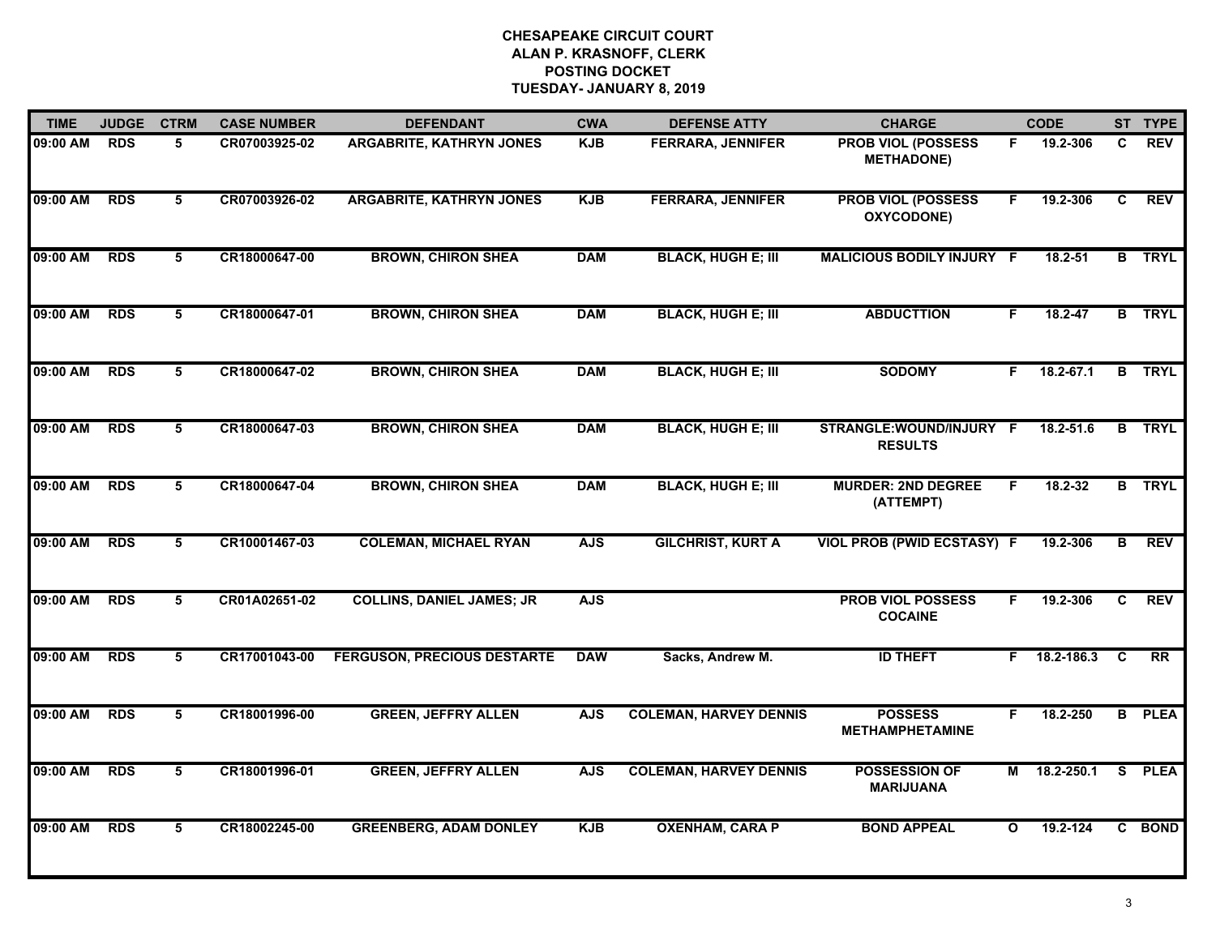| <b>TIME</b> | <b>JUDGE</b> | <b>CTRM</b>     | <b>CASE NUMBER</b> | <b>DEFENDANT</b>                   | <b>CWA</b> | <b>DEFENSE ATTY</b>           | <b>CHARGE</b>                                  |              | <b>CODE</b>   |                         | ST TYPE       |
|-------------|--------------|-----------------|--------------------|------------------------------------|------------|-------------------------------|------------------------------------------------|--------------|---------------|-------------------------|---------------|
| 09:00 AM    | <b>RDS</b>   | 5               | CR07003925-02      | <b>ARGABRITE, KATHRYN JONES</b>    | <b>KJB</b> | <b>FERRARA, JENNIFER</b>      | <b>PROB VIOL (POSSESS</b><br><b>METHADONE)</b> | F.           | 19.2-306      | C                       | <b>REV</b>    |
| 09:00 AM    | <b>RDS</b>   | 5               | CR07003926-02      | <b>ARGABRITE, KATHRYN JONES</b>    | <b>KJB</b> | <b>FERRARA, JENNIFER</b>      | <b>PROB VIOL (POSSESS</b><br>OXYCODONE)        | F.           | 19.2-306      | C                       | <b>REV</b>    |
| 09:00 AM    | <b>RDS</b>   | 5               | CR18000647-00      | <b>BROWN, CHIRON SHEA</b>          | <b>DAM</b> | <b>BLACK, HUGH E; III</b>     | <b>MALICIOUS BODILY INJURY F</b>               |              | $18.2 - 51$   |                         | <b>B</b> TRYL |
| 09:00 AM    | <b>RDS</b>   | 5               | CR18000647-01      | <b>BROWN, CHIRON SHEA</b>          | <b>DAM</b> | <b>BLACK, HUGH E; III</b>     | <b>ABDUCTTION</b>                              | F.           | $18.2 - 47$   |                         | <b>B</b> TRYL |
| 09:00 AM    | <b>RDS</b>   | 5               | CR18000647-02      | <b>BROWN, CHIRON SHEA</b>          | <b>DAM</b> | <b>BLACK, HUGH E; III</b>     | <b>SODOMY</b>                                  | F.           | $18.2 - 67.1$ |                         | <b>B</b> TRYL |
| 09:00 AM    | <b>RDS</b>   | 5               | CR18000647-03      | <b>BROWN, CHIRON SHEA</b>          | <b>DAM</b> | <b>BLACK, HUGH E; III</b>     | STRANGLE:WOUND/INJURY F<br><b>RESULTS</b>      |              | 18.2-51.6     |                         | <b>B</b> TRYL |
| 09:00 AM    | <b>RDS</b>   | 5               | CR18000647-04      | <b>BROWN, CHIRON SHEA</b>          | <b>DAM</b> | <b>BLACK, HUGH E; III</b>     | <b>MURDER: 2ND DEGREE</b><br>(ATTEMPT)         | F            | 18.2-32       |                         | <b>B</b> TRYL |
| 09:00 AM    | <b>RDS</b>   | $5\overline{)}$ | CR10001467-03      | <b>COLEMAN, MICHAEL RYAN</b>       | <b>AJS</b> | <b>GILCHRIST, KURT A</b>      | <b>VIOL PROB (PWID ECSTASY) F</b>              |              | 19.2-306      | $\overline{\mathbf{B}}$ | <b>REV</b>    |
| 09:00 AM    | <b>RDS</b>   | 5               | CR01A02651-02      | <b>COLLINS, DANIEL JAMES; JR</b>   | <b>AJS</b> |                               | <b>PROB VIOL POSSESS</b><br><b>COCAINE</b>     | F.           | 19.2-306      | C                       | <b>REV</b>    |
| 09:00 AM    | <b>RDS</b>   | 5               | CR17001043-00      | <b>FERGUSON, PRECIOUS DESTARTE</b> | <b>DAW</b> | Sacks, Andrew M.              | <b>ID THEFT</b>                                | F.           | 18.2-186.3    | C                       | <b>RR</b>     |
| 09:00 AM    | <b>RDS</b>   | 5               | CR18001996-00      | <b>GREEN, JEFFRY ALLEN</b>         | <b>AJS</b> | <b>COLEMAN, HARVEY DENNIS</b> | <b>POSSESS</b><br><b>METHAMPHETAMINE</b>       | F.           | 18.2-250      |                         | <b>B</b> PLEA |
| 09:00 AM    | <b>RDS</b>   | 5               | CR18001996-01      | <b>GREEN, JEFFRY ALLEN</b>         | <b>AJS</b> | <b>COLEMAN, HARVEY DENNIS</b> | <b>POSSESSION OF</b><br>MARIJUANA              |              | M 18.2-250.1  | S.                      | <b>PLEA</b>   |
| 09:00 AM    | <b>RDS</b>   | 5               | CR18002245-00      | <b>GREENBERG, ADAM DONLEY</b>      | <b>KJB</b> | <b>OXENHAM, CARA P</b>        | <b>BOND APPEAL</b>                             | $\mathbf{o}$ | 19.2-124      |                         | C BOND        |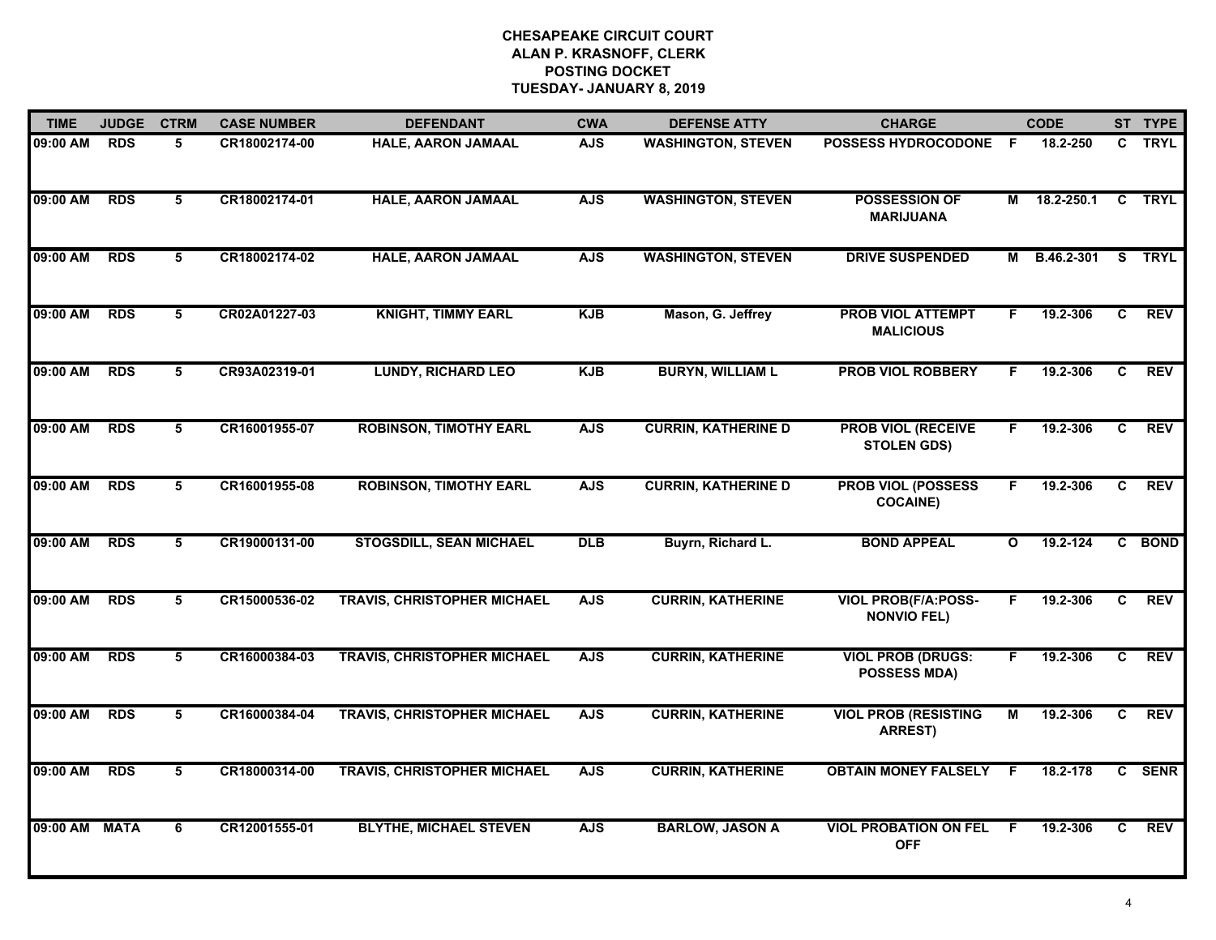| <b>TIME</b>   | <b>JUDGE</b> | <b>CTRM</b>     | <b>CASE NUMBER</b> | <b>DEFENDANT</b>                   | <b>CWA</b> | <b>DEFENSE ATTY</b>        | <b>CHARGE</b>                                    |              | <b>CODE</b> |              | ST TYPE     |
|---------------|--------------|-----------------|--------------------|------------------------------------|------------|----------------------------|--------------------------------------------------|--------------|-------------|--------------|-------------|
| 09:00 AM      | <b>RDS</b>   | 5               | CR18002174-00      | HALE, AARON JAMAAL                 | <b>AJS</b> | <b>WASHINGTON, STEVEN</b>  | <b>POSSESS HYDROCODONE</b>                       | - F          | 18.2-250    | $\mathbf{c}$ | <b>TRYL</b> |
| 09:00 AM      | <b>RDS</b>   | 5               | CR18002174-01      | <b>HALE, AARON JAMAAL</b>          | <b>AJS</b> | <b>WASHINGTON, STEVEN</b>  | <b>POSSESSION OF</b><br><b>MARIJUANA</b>         | М            | 18.2-250.1  | $\mathbf{C}$ | TRYL        |
| 09:00 AM      | <b>RDS</b>   | $5\overline{5}$ | CR18002174-02      | <b>HALE, AARON JAMAAL</b>          | <b>AJS</b> | <b>WASHINGTON, STEVEN</b>  | <b>DRIVE SUSPENDED</b>                           | М            | B.46.2-301  | s            | <b>TRYL</b> |
| 09:00 AM      | <b>RDS</b>   | 5               | CR02A01227-03      | <b>KNIGHT, TIMMY EARL</b>          | <b>KJB</b> | Mason, G. Jeffrey          | PROB VIOL ATTEMPT<br><b>MALICIOUS</b>            | F.           | 19.2-306    | C            | <b>REV</b>  |
| 09:00 AM      | <b>RDS</b>   | 5               | CR93A02319-01      | <b>LUNDY, RICHARD LEO</b>          | <b>KJB</b> | <b>BURYN, WILLIAM L</b>    | <b>PROB VIOL ROBBERY</b>                         | F            | 19.2-306    | $\mathbf{C}$ | <b>REV</b>  |
| 09:00 AM      | <b>RDS</b>   | 5               | CR16001955-07      | <b>ROBINSON, TIMOTHY EARL</b>      | <b>AJS</b> | <b>CURRIN, KATHERINE D</b> | <b>PROB VIOL (RECEIVE</b><br><b>STOLEN GDS)</b>  | F.           | 19.2-306    | C.           | REV         |
| 09:00 AM      | <b>RDS</b>   | $\overline{5}$  | CR16001955-08      | <b>ROBINSON, TIMOTHY EARL</b>      | <b>AJS</b> | <b>CURRIN, KATHERINE D</b> | <b>PROB VIOL (POSSESS</b><br><b>COCAINE)</b>     | F.           | 19.2-306    | C            | REV         |
| 09:00 AM      | <b>RDS</b>   | 5               | CR19000131-00      | <b>STOGSDILL, SEAN MICHAEL</b>     | DLB        | Buyrn, Richard L.          | <b>BOND APPEAL</b>                               | $\mathbf{o}$ | 19.2-124    |              | C BOND      |
| 09:00 AM      | <b>RDS</b>   | 5               | CR15000536-02      | <b>TRAVIS, CHRISTOPHER MICHAEL</b> | <b>AJS</b> | <b>CURRIN, KATHERINE</b>   | <b>VIOL PROB(F/A:POSS-</b><br><b>NONVIO FEL)</b> | F            | 19.2-306    | C.           | <b>REV</b>  |
| 09:00 AM      | <b>RDS</b>   | 5               | CR16000384-03      | <b>TRAVIS, CHRISTOPHER MICHAEL</b> | <b>AJS</b> | <b>CURRIN, KATHERINE</b>   | <b>VIOL PROB (DRUGS:</b><br><b>POSSESS MDA)</b>  | F.           | 19.2-306    | C            | <b>REV</b>  |
| 09:00 AM      | <b>RDS</b>   | 5               | CR16000384-04      | <b>TRAVIS, CHRISTOPHER MICHAEL</b> | <b>AJS</b> | <b>CURRIN, KATHERINE</b>   | <b>VIOL PROB (RESISTING</b><br><b>ARREST)</b>    | М            | 19.2-306    | C            | <b>REV</b>  |
| 09:00 AM      | <b>RDS</b>   | 5               | CR18000314-00      | <b>TRAVIS, CHRISTOPHER MICHAEL</b> | <b>AJS</b> | <b>CURRIN, KATHERINE</b>   | <b>OBTAIN MONEY FALSELY</b>                      | F.           | 18.2-178    |              | C SENR      |
| 09:00 AM MATA |              | 6               | CR12001555-01      | <b>BLYTHE, MICHAEL STEVEN</b>      | <b>AJS</b> | <b>BARLOW, JASON A</b>     | <b>VIOL PROBATION ON FEL</b><br><b>OFF</b>       | -F           | 19.2-306    | C.           | REV         |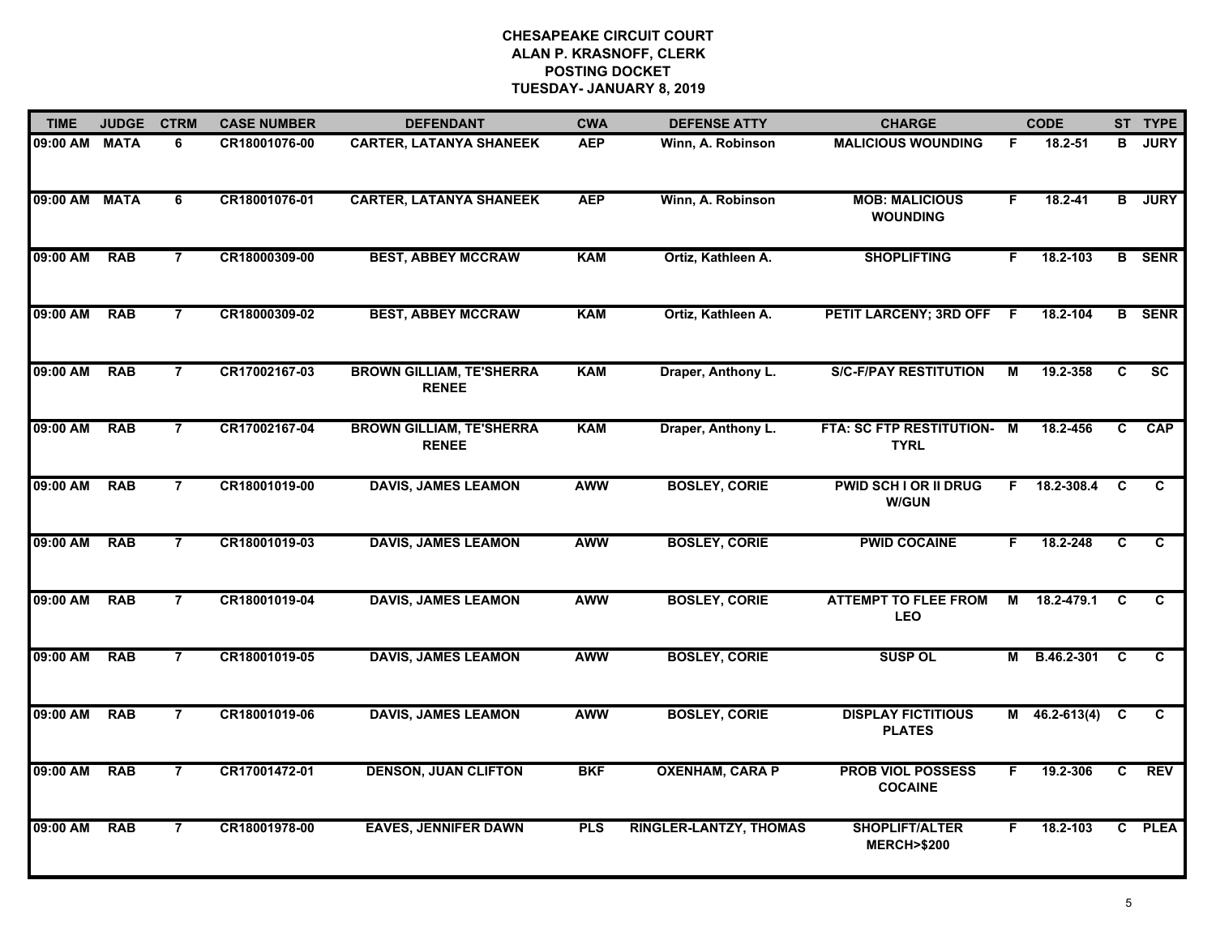| <b>TIME</b> | <b>JUDGE</b> | <b>CTRM</b>    | <b>CASE NUMBER</b> | <b>DEFENDANT</b>                                | <b>CWA</b> | <b>DEFENSE ATTY</b>           | <b>CHARGE</b>                                  |    | <b>CODE</b>     |              | ST TYPE       |
|-------------|--------------|----------------|--------------------|-------------------------------------------------|------------|-------------------------------|------------------------------------------------|----|-----------------|--------------|---------------|
| 09:00 AM    | <b>MATA</b>  | 6              | CR18001076-00      | <b>CARTER, LATANYA SHANEEK</b>                  | <b>AEP</b> | Winn, A. Robinson             | <b>MALICIOUS WOUNDING</b>                      | F  | 18.2-51         | в            | <b>JURY</b>   |
| 09:00 AM    | <b>MATA</b>  | 6              | CR18001076-01      | <b>CARTER, LATANYA SHANEEK</b>                  | <b>AEP</b> | Winn, A. Robinson             | <b>MOB: MALICIOUS</b><br><b>WOUNDING</b>       | F. | $18.2 - 41$     | B            | <b>JURY</b>   |
| 09:00 AM    | <b>RAB</b>   | $\overline{7}$ | CR18000309-00      | <b>BEST, ABBEY MCCRAW</b>                       | <b>KAM</b> | Ortiz, Kathleen A.            | <b>SHOPLIFTING</b>                             | F. | 18.2-103        |              | <b>B</b> SENR |
| 09:00 AM    | <b>RAB</b>   | $\overline{7}$ | CR18000309-02      | <b>BEST, ABBEY MCCRAW</b>                       | <b>KAM</b> | Ortiz, Kathleen A.            | PETIT LARCENY; 3RD OFF F                       |    | 18.2-104        |              | <b>B</b> SENR |
| 09:00 AM    | <b>RAB</b>   | $\overline{7}$ | CR17002167-03      | <b>BROWN GILLIAM, TE'SHERRA</b><br><b>RENEE</b> | <b>KAM</b> | Draper, Anthony L.            | <b>S/C-F/PAY RESTITUTION</b>                   | М  | 19.2-358        | C            | <b>SC</b>     |
| 09:00 AM    | <b>RAB</b>   | $\overline{7}$ | CR17002167-04      | <b>BROWN GILLIAM, TE'SHERRA</b><br><b>RENEE</b> | <b>KAM</b> | Draper, Anthony L.            | FTA: SC FTP RESTITUTION- M<br><b>TYRL</b>      |    | 18.2-456        | C.           | <b>CAP</b>    |
| 09:00 AM    | <b>RAB</b>   | $\overline{7}$ | CR18001019-00      | <b>DAVIS, JAMES LEAMON</b>                      | <b>AWW</b> | <b>BOSLEY, CORIE</b>          | <b>PWID SCH I OR II DRUG</b><br><b>W/GUN</b>   | F  | 18.2-308.4      | <b>C</b>     | C.            |
| 09:00 AM    | <b>RAB</b>   | $\overline{7}$ | CR18001019-03      | <b>DAVIS, JAMES LEAMON</b>                      | <b>AWW</b> | <b>BOSLEY, CORIE</b>          | <b>PWID COCAINE</b>                            | F. | 18.2-248        | C            | C             |
| 09:00 AM    | <b>RAB</b>   | $\overline{7}$ | CR18001019-04      | <b>DAVIS, JAMES LEAMON</b>                      | <b>AWW</b> | <b>BOSLEY, CORIE</b>          | <b>ATTEMPT TO FLEE FROM</b><br><b>LEO</b>      | М  | 18.2-479.1      | C.           | C.            |
| 09:00 AM    | <b>RAB</b>   | $\overline{7}$ | CR18001019-05      | <b>DAVIS, JAMES LEAMON</b>                      | <b>AWW</b> | <b>BOSLEY, CORIE</b>          | <b>SUSP OL</b>                                 |    | M B.46.2-301    | <b>C</b>     | C             |
| 09:00 AM    | <b>RAB</b>   | 7              | CR18001019-06      | <b>DAVIS, JAMES LEAMON</b>                      | <b>AWW</b> | <b>BOSLEY, CORIE</b>          | <b>DISPLAY FICTITIOUS</b><br><b>PLATES</b>     |    | $M$ 46.2-613(4) | C            | C             |
| 09:00 AM    | <b>RAB</b>   | $\overline{7}$ | CR17001472-01      | <b>DENSON, JUAN CLIFTON</b>                     | <b>BKF</b> | <b>OXENHAM, CARA P</b>        | <b>PROB VIOL POSSESS</b><br><b>COCAINE</b>     | F. | 19.2-306        | C            | <b>REV</b>    |
| 09:00 AM    | <b>RAB</b>   | $\overline{7}$ | CR18001978-00      | <b>EAVES, JENNIFER DAWN</b>                     | <b>PLS</b> | <b>RINGLER-LANTZY, THOMAS</b> | <b>SHOPLIFT/ALTER</b><br><b>MERCH&gt;\$200</b> | F. | 18.2-103        | $\mathbf{c}$ | <b>PLEA</b>   |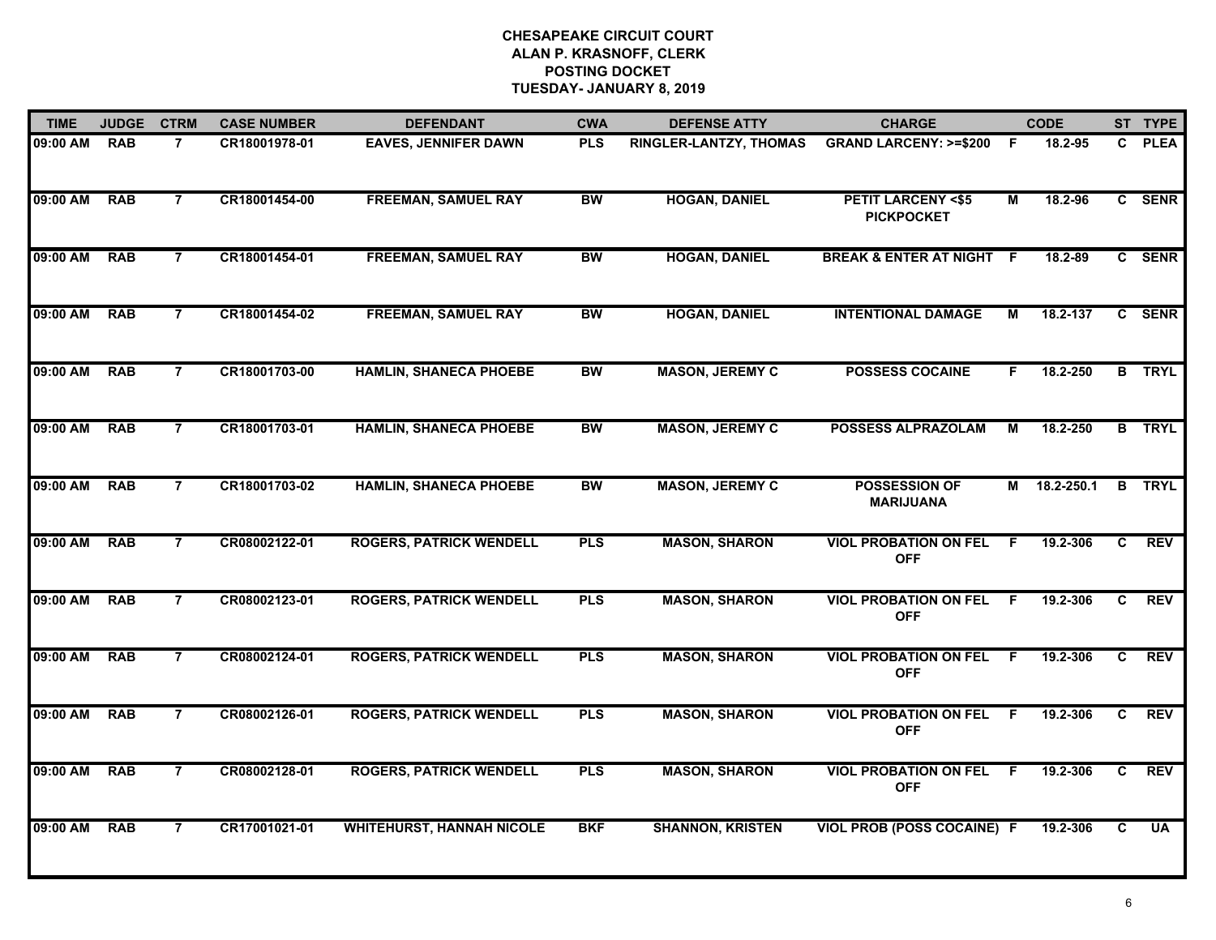| <b>TIME</b> | <b>JUDGE</b> | <b>CTRM</b>    | <b>CASE NUMBER</b> | <b>DEFENDANT</b>                 | <b>CWA</b> | <b>DEFENSE ATTY</b>     | <b>CHARGE</b>                                     |     | <b>CODE</b> |    | ST TYPE       |
|-------------|--------------|----------------|--------------------|----------------------------------|------------|-------------------------|---------------------------------------------------|-----|-------------|----|---------------|
| 09:00 AM    | <b>RAB</b>   | $\overline{7}$ | CR18001978-01      | <b>EAVES, JENNIFER DAWN</b>      | <b>PLS</b> | RINGLER-LANTZY, THOMAS  | <b>GRAND LARCENY: &gt;=\$200</b>                  | - F | 18.2-95     |    | C PLEA        |
| 09:00 AM    | <b>RAB</b>   | $\overline{7}$ | CR18001454-00      | <b>FREEMAN, SAMUEL RAY</b>       | <b>BW</b>  | <b>HOGAN, DANIEL</b>    | <b>PETIT LARCENY &lt;\$5</b><br><b>PICKPOCKET</b> | М   | 18.2-96     |    | C SENR        |
| 09:00 AM    | <b>RAB</b>   | $\overline{7}$ | CR18001454-01      | <b>FREEMAN, SAMUEL RAY</b>       | <b>BW</b>  | <b>HOGAN, DANIEL</b>    | <b>BREAK &amp; ENTER AT NIGHT</b>                 | - F | 18.2-89     |    | C SENR        |
| 09:00 AM    | <b>RAB</b>   | $\overline{7}$ | CR18001454-02      | <b>FREEMAN, SAMUEL RAY</b>       | <b>BW</b>  | <b>HOGAN, DANIEL</b>    | <b>INTENTIONAL DAMAGE</b>                         | М   | 18.2-137    |    | C SENR        |
| 09:00 AM    | <b>RAB</b>   | $\overline{7}$ | CR18001703-00      | <b>HAMLIN, SHANECA PHOEBE</b>    | <b>BW</b>  | <b>MASON, JEREMY C</b>  | <b>POSSESS COCAINE</b>                            | F.  | 18.2-250    |    | <b>B</b> TRYL |
| 09:00 AM    | <b>RAB</b>   | $\overline{7}$ | CR18001703-01      | <b>HAMLIN, SHANECA PHOEBE</b>    | <b>BW</b>  | <b>MASON, JEREMY C</b>  | <b>POSSESS ALPRAZOLAM</b>                         | м   | 18.2-250    |    | <b>B</b> TRYL |
| 09:00 AM    | <b>RAB</b>   | $\overline{7}$ | CR18001703-02      | <b>HAMLIN, SHANECA PHOEBE</b>    | <b>BW</b>  | <b>MASON, JEREMY C</b>  | <b>POSSESSION OF</b><br><b>MARIJUANA</b>          | М   | 18.2-250.1  |    | <b>B</b> TRYL |
| 09:00 AM    | <b>RAB</b>   | $\overline{7}$ | CR08002122-01      | <b>ROGERS, PATRICK WENDELL</b>   | <b>PLS</b> | <b>MASON, SHARON</b>    | <b>VIOL PROBATION ON FEL</b><br><b>OFF</b>        | F.  | 19.2-306    | C. | <b>REV</b>    |
| 09:00 AM    | <b>RAB</b>   | $\overline{7}$ | CR08002123-01      | <b>ROGERS, PATRICK WENDELL</b>   | <b>PLS</b> | <b>MASON, SHARON</b>    | <b>VIOL PROBATION ON FEL</b><br><b>OFF</b>        | F   | 19.2-306    | C. | <b>REV</b>    |
| 09:00 AM    | <b>RAB</b>   | $\overline{7}$ | CR08002124-01      | <b>ROGERS, PATRICK WENDELL</b>   | <b>PLS</b> | <b>MASON, SHARON</b>    | <b>VIOL PROBATION ON FEL</b><br><b>OFF</b>        | F.  | 19.2-306    | C  | <b>REV</b>    |
| 09:00 AM    | <b>RAB</b>   | $\overline{7}$ | CR08002126-01      | <b>ROGERS, PATRICK WENDELL</b>   | <b>PLS</b> | <b>MASON, SHARON</b>    | <b>VIOL PROBATION ON FEL</b><br><b>OFF</b>        | -F  | 19.2-306    | C  | <b>REV</b>    |
| 09:00 AM    | <b>RAB</b>   | $\overline{7}$ | CR08002128-01      | <b>ROGERS, PATRICK WENDELL</b>   | <b>PLS</b> | <b>MASON, SHARON</b>    | <b>VIOL PROBATION ON FEL</b><br><b>OFF</b>        | - F | 19.2-306    | C  | <b>REV</b>    |
| 09:00 AM    | <b>RAB</b>   | $\overline{7}$ | CR17001021-01      | <b>WHITEHURST, HANNAH NICOLE</b> | <b>BKF</b> | <b>SHANNON, KRISTEN</b> | <b>VIOL PROB (POSS COCAINE) F</b>                 |     | 19.2-306    | C  | <b>UA</b>     |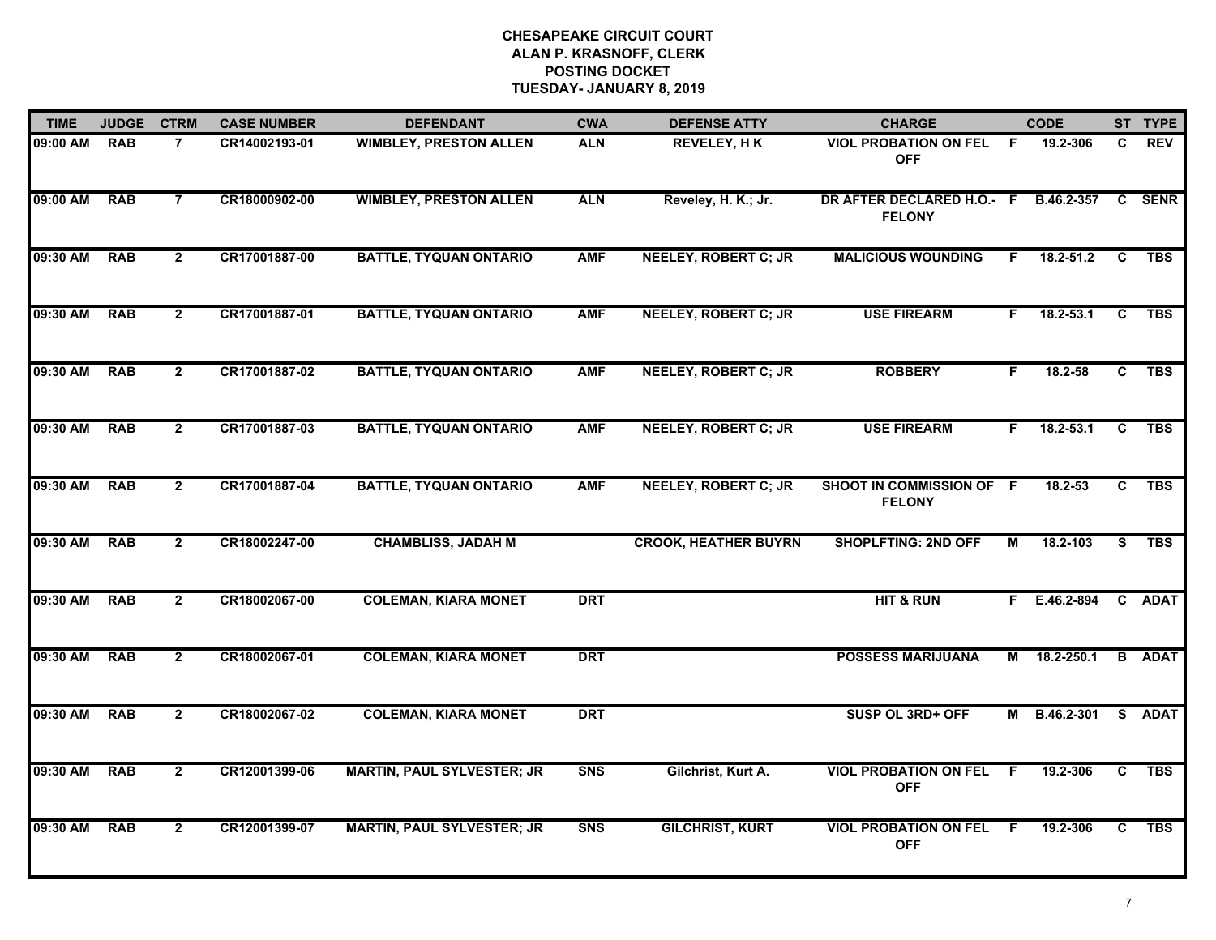| <b>TIME</b> | <b>JUDGE</b> | <b>CTRM</b>    | <b>CASE NUMBER</b> | <b>DEFENDANT</b>                  | <b>CWA</b> | <b>DEFENSE ATTY</b>         | <b>CHARGE</b>                              |    | <b>CODE</b>   |                | ST TYPE       |
|-------------|--------------|----------------|--------------------|-----------------------------------|------------|-----------------------------|--------------------------------------------|----|---------------|----------------|---------------|
| 09:00 AM    | <b>RAB</b>   | $\overline{7}$ | CR14002193-01      | <b>WIMBLEY, PRESTON ALLEN</b>     | <b>ALN</b> | <b>REVELEY, HK</b>          | <b>VIOL PROBATION ON FEL</b><br><b>OFF</b> | F. | 19.2-306      | C              | <b>REV</b>    |
| 09:00 AM    | <b>RAB</b>   | $\overline{7}$ | CR18000902-00      | <b>WIMBLEY, PRESTON ALLEN</b>     | <b>ALN</b> | Reveley, H. K.; Jr.         | DR AFTER DECLARED H.O.- F<br><b>FELONY</b> |    | B.46.2-357    |                | <b>C</b> SENR |
| 09:30 AM    | <b>RAB</b>   | $\overline{2}$ | CR17001887-00      | <b>BATTLE, TYQUAN ONTARIO</b>     | <b>AMF</b> | <b>NEELEY, ROBERT C; JR</b> | <b>MALICIOUS WOUNDING</b>                  | F. | $18.2 - 51.2$ | $\overline{c}$ | <b>TBS</b>    |
| 09:30 AM    | <b>RAB</b>   | $\overline{2}$ | CR17001887-01      | <b>BATTLE, TYQUAN ONTARIO</b>     | <b>AMF</b> | <b>NEELEY, ROBERT C; JR</b> | <b>USE FIREARM</b>                         | F. | $18.2 - 53.1$ | C              | <b>TBS</b>    |
| 09:30 AM    | <b>RAB</b>   | $\overline{2}$ | CR17001887-02      | <b>BATTLE, TYQUAN ONTARIO</b>     | <b>AMF</b> | <b>NEELEY, ROBERT C; JR</b> | <b>ROBBERY</b>                             | F. | 18.2-58       | $\overline{c}$ | <b>TBS</b>    |
| 09:30 AM    | <b>RAB</b>   | $\mathbf{2}$   | CR17001887-03      | <b>BATTLE, TYQUAN ONTARIO</b>     | <b>AMF</b> | <b>NEELEY, ROBERT C; JR</b> | <b>USE FIREARM</b>                         | F. | 18.2-53.1     | C              | <b>TBS</b>    |
| 09:30 AM    | <b>RAB</b>   | $\overline{2}$ | CR17001887-04      | <b>BATTLE, TYQUAN ONTARIO</b>     | <b>AMF</b> | <b>NEELEY, ROBERT C; JR</b> | SHOOT IN COMMISSION OF F<br><b>FELONY</b>  |    | 18.2-53       | $\overline{c}$ | <b>TBS</b>    |
| 09:30 AM    | <b>RAB</b>   | $\mathbf{2}$   | CR18002247-00      | <b>CHAMBLISS, JADAH M</b>         |            | <b>CROOK, HEATHER BUYRN</b> | <b>SHOPLFTING: 2ND OFF</b>                 | М  | 18.2-103      | s              | <b>TBS</b>    |
| 09:30 AM    | <b>RAB</b>   | $\overline{2}$ | CR18002067-00      | <b>COLEMAN, KIARA MONET</b>       | <b>DRT</b> |                             | <b>HIT &amp; RUN</b>                       |    | F E.46.2-894  |                | C ADAT        |
| 09:30 AM    | <b>RAB</b>   | $\overline{2}$ | CR18002067-01      | <b>COLEMAN, KIARA MONET</b>       | <b>DRT</b> |                             | <b>POSSESS MARIJUANA</b>                   | M  | 18.2-250.1    |                | <b>B</b> ADAT |
| 09:30 AM    | <b>RAB</b>   | $\overline{2}$ | CR18002067-02      | <b>COLEMAN, KIARA MONET</b>       | <b>DRT</b> |                             | SUSP OL 3RD+ OFF                           | М  | B.46.2-301    | s              | <b>ADAT</b>   |
| 09:30 AM    | <b>RAB</b>   | $\overline{2}$ | CR12001399-06      | <b>MARTIN, PAUL SYLVESTER; JR</b> | <b>SNS</b> | Gilchrist, Kurt A.          | <b>VIOL PROBATION ON FEL</b><br><b>OFF</b> | F. | 19.2-306      | C.             | <b>TBS</b>    |
| 09:30 AM    | <b>RAB</b>   | $\overline{2}$ | CR12001399-07      | <b>MARTIN, PAUL SYLVESTER; JR</b> | <b>SNS</b> | <b>GILCHRIST, KURT</b>      | <b>VIOL PROBATION ON FEL</b><br><b>OFF</b> | -F | 19.2-306      | C              | <b>TBS</b>    |